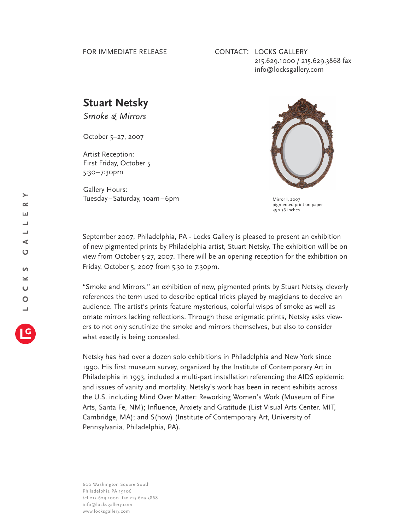## FOR IMMEDIATE RELEASE

## CONTACT: LOCKS GALLERY 215.629.1000 / 215.629.3868 fax info@locksgallery.com

## **Stuart Netsky**

*Smoke & Mirrors*

October 5–27, 2007

Artist Reception: First Friday, October 5 5:30–7:30pm

Gallery Hours: Tuesday–Saturday, 10am–6pm



Mirror I, 2007 pigmented print on paper  $45 \times 36$  inches

September 2007, Philadelphia, PA - Locks Gallery is pleased to present an exhibition of new pigmented prints by Philadelphia artist, Stuart Netsky. The exhibition will be on view from October 5-27, 2007. There will be an opening reception for the exhibition on Friday, October 5, 2007 from 5:30 to 7:30pm.

"Smoke and Mirrors," an exhibition of new, pigmented prints by Stuart Netsky, cleverly references the term used to describe optical tricks played by magicians to deceive an audience. The artist's prints feature mysterious, colorful wisps of smoke as well as ornate mirrors lacking reflections. Through these enigmatic prints, Netsky asks viewers to not only scrutinize the smoke and mirrors themselves, but also to consider what exactly is being concealed.

Netsky has had over a dozen solo exhibitions in Philadelphia and New York since 1990. His first museum survey, organized by the Institute of Contemporary Art in Philadelphia in 1993, included a multi-part installation referencing the AIDS epidemic and issues of vanity and mortality. Netsky's work has been in recent exhibits across the U.S. including Mind Over Matter: Reworking Women's Work (Museum of Fine Arts, Santa Fe, NM); Influence, Anxiety and Gratitude (List Visual Arts Center, MIT, Cambridge, MA); and S(how) (Institute of Contemporary Art, University of Pennsylvania, Philadelphia, PA).

600 Washington Square South Philadelphia PA 19106 tel 215.629.1000 fax 215.629.3868 info@locksgallery.com www.locksgallery.com